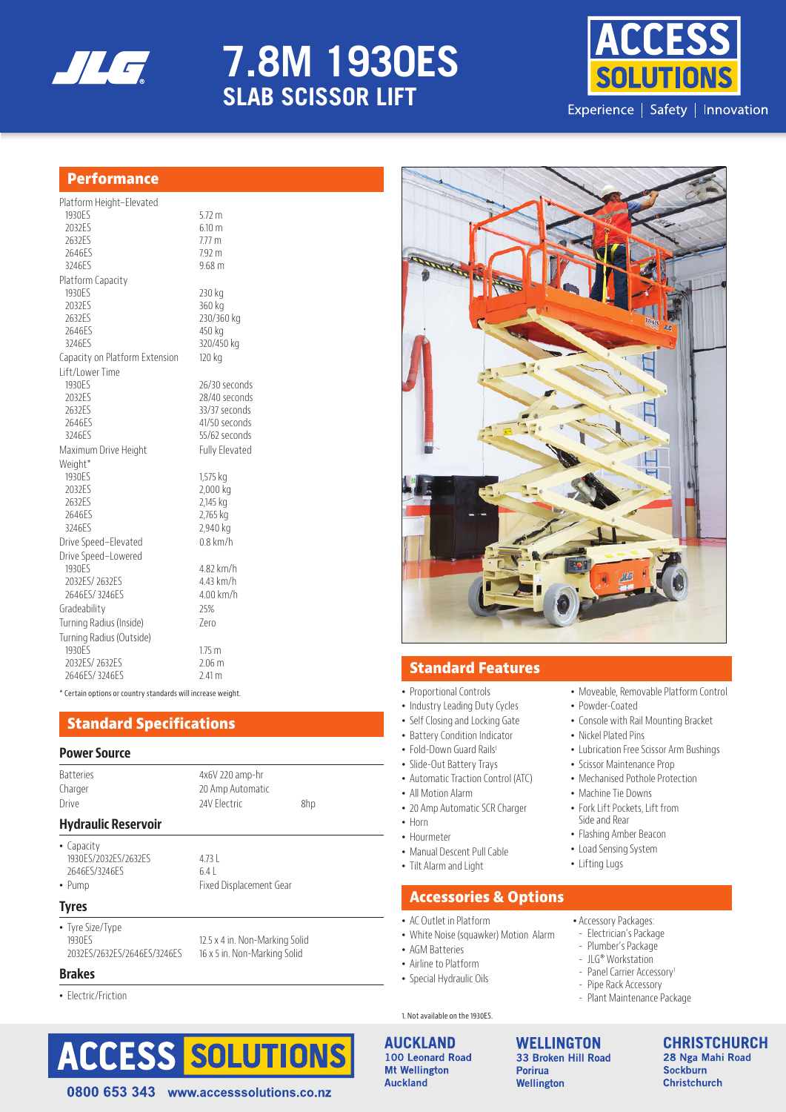

# **7.8M 1930ES SLAB SCISSOR LIFT**



# **Performance**

| Platform Height-Elevated            |                        |
|-------------------------------------|------------------------|
| 1930ES                              | $5.72 \text{ m}$       |
| 2032ES                              | 6.10 <sub>m</sub>      |
| 2632ES                              | 7.77 <sub>m</sub>      |
| 2646ES                              | $7.92 \text{ m}$       |
| 3246ES                              | 9.68 <sub>m</sub>      |
| Platform Capacity                   |                        |
| 1930ES                              | 230 kg                 |
| 2032ES                              | 360 kg                 |
| 2632ES                              | 230/360 kg             |
| 2646ES                              | 450 kg                 |
| 3246FS                              | 320/450 kg             |
| Capacity on Platform Extension      | 120 kg                 |
| I ift/I ower Time                   |                        |
| 1930ES                              | 26/30 seconds          |
| 2032ES                              | 28/40 seconds          |
| 2632ES                              | 33/37 seconds          |
| 2646ES                              | 41/50 seconds          |
| 3246ES                              | 55/62 seconds          |
| Maximum Drive Height                | <b>Fully Elevated</b>  |
| Weight*                             |                        |
| 1930ES                              | 1,575 kg               |
| 2032ES                              | 2,000 kg               |
| 2632ES                              | 2,145 kg               |
| 2646ES<br>3246ES                    | 2,765 kg               |
|                                     | 2,940 kg<br>$0.8$ km/h |
| Drive Speed-Elevated                |                        |
| Drive Speed-Lowered                 |                        |
| 1930 <sub>FS</sub><br>2032ES/2632ES | 4.82 km/h<br>4.43 km/h |
| 2646ES/3246ES                       | 4.00 km/h              |
|                                     | 25%                    |
| Gradeability                        |                        |
| Turning Radius (Inside)             | Zero                   |
| Turning Radius (Outside)            |                        |
| 1930ES                              | $1.75 \text{ m}$       |
| 2032ES/2632ES<br>2646ES/3246ES      | 2.06 <sub>m</sub>      |
|                                     | 2.41 <sub>m</sub>      |

\* Certain options or country standards will increase weight.

# **Standard Specifications**

## **Power Source**

| Drive            | 24V Flectric      | 8hp |
|------------------|-------------------|-----|
| Charger          | 20 Amp Automatic  |     |
| <b>Batteries</b> | $4x6V$ 220 amp-hr |     |

## **Hydraulic Reservoir**

• Capacity 1930ES/2032ES/2632ES 4.73 L 2646ES/3246ES 6.4 L

• Pump Fixed Displacement Gear

### **Tyres**

• Tyre Size/Type

#### **Brakes**

• Electric/Friction





# **Standard Features**

- Proportional Controls
- Industry Leading Duty Cycles
- Self Closing and Locking Gate
- Battery Condition Indicator
- Fold-Down Guard Rails<sup>1</sup>
- Slide-Out Battery Trays
- Automatic Traction Control (ATC)
- All Motion Alarm
- 20 Amp Automatic SCR Charger
- Horn
- Hourmeter
- Manual Descent Pull Cable
- Tilt Alarm and Light

## **Accessories & Options**

- AC Outlet in Platform
- White Noise (squawker) Motion Alarm

**AUCKLAND** 100 Leonard Road **Mt Wellington Auckland** 

**WELLINGTON** 33 Broken Hill Road Porirua Wellington

**CHRISTCHURCH** 28 Nga Mahi Road Sockburn **Christchurch** 

• Moveable, Removable Platform Control

• Console with Rail Mounting Bracket

• Lubrication Free Scissor Arm Bushings

• Powder-Coated

• Nickel Plated Pins

• Machine Tie Downs • Fork Lift Pockets, Lift from Side and Rear • Flashing Amber Beacon • Load Sensing System • Lifting Lugs

• Accessory Packages: - Electrician's Package - Plumber's Package - JLG® Workstation - Panel Carrier Accessory<sup>1</sup> - Pipe Rack Accessory - Plant Maintenance Package

• Scissor Maintenance Prop • Mechanised Pothole Protection

**ACCESS SOLUTIONS**